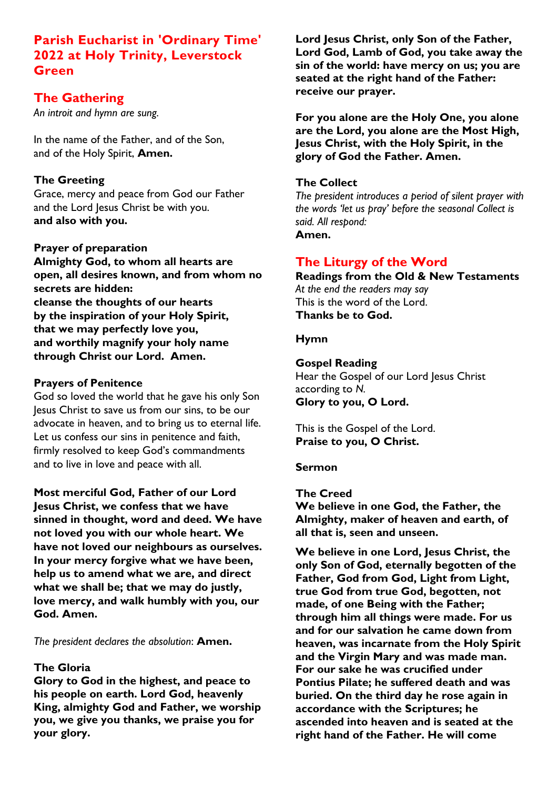# **Parish Eucharist in 'Ordinary Time' 2022 at Holy Trinity, Leverstock Green**

# **The Gathering**

*An introit and hymn are sung.*

In the name of the Father, and of the Son, and of the Holy Spirit, **Amen.**

## **The Greeting**

Grace, mercy and peace from God our Father and the Lord Jesus Christ be with you. **and also with you.**

### **Prayer of preparation**

**Almighty God, to whom all hearts are open, all desires known, and from whom no secrets are hidden: cleanse the thoughts of our hearts by the inspiration of your Holy Spirit, that we may perfectly love you, and worthily magnify your holy name through Christ our Lord. Amen.**

### **Prayers of Penitence**

God so loved the world that he gave his only Son Jesus Christ to save us from our sins, to be our advocate in heaven, and to bring us to eternal life. Let us confess our sins in penitence and faith, firmly resolved to keep God's commandments and to live in love and peace with all.

**Most merciful God, Father of our Lord Jesus Christ, we confess that we have sinned in thought, word and deed. We have not loved you with our whole heart. We have not loved our neighbours as ourselves. In your mercy forgive what we have been, help us to amend what we are, and direct what we shall be; that we may do justly, love mercy, and walk humbly with you, our God. Amen.**

*The president declares the absolution*: **Amen.**

## **The Gloria**

**Glory to God in the highest, and peace to his people on earth. Lord God, heavenly King, almighty God and Father, we worship you, we give you thanks, we praise you for your glory.**

**Lord Jesus Christ, only Son of the Father, Lord God, Lamb of God, you take away the sin of the world: have mercy on us; you are seated at the right hand of the Father: receive our prayer.**

**For you alone are the Holy One, you alone are the Lord, you alone are the Most High, Jesus Christ, with the Holy Spirit, in the glory of God the Father. Amen.**

### **The Collect**

*The president introduces a period of silent prayer with the words 'let us pray' before the seasonal Collect is said. All respond:* **Amen.**

# **The Liturgy of the Word**

**Readings from the Old & New Testaments** *At the end the readers may say* This is the word of the Lord. **Thanks be to God.**

### **Hymn**

### **Gospel Reading**

Hear the Gospel of our Lord Jesus Christ according to *N.* **Glory to you, O Lord.**

This is the Gospel of the Lord. **Praise to you, O Christ.**

#### **Sermon**

**The Creed**

**We believe in one God, the Father, the Almighty, maker of heaven and earth, of all that is, seen and unseen.** 

**We believe in one Lord, Jesus Christ, the only Son of God, eternally begotten of the Father, God from God, Light from Light, true God from true God, begotten, not made, of one Being with the Father; through him all things were made. For us and for our salvation he came down from heaven, was incarnate from the Holy Spirit and the Virgin Mary and was made man. For our sake he was crucified under Pontius Pilate; he suffered death and was buried. On the third day he rose again in accordance with the Scriptures; he ascended into heaven and is seated at the right hand of the Father. He will come**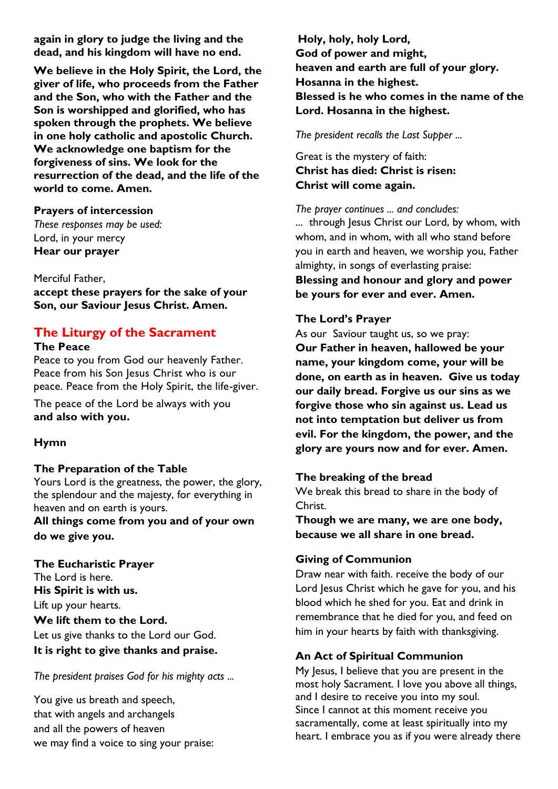**again in glory to judge the living and the dead, and his kingdom will have no end.** 

**We believe in the Holy Spirit, the Lord, the giver of life, who proceeds from the Father and the Son, who with the Father and the Son is worshipped and glorified, who has spoken through the prophets. We believe in one holy catholic and apostolic Church. We acknowledge one baptism for the forgiveness of sins. We look for the resurrection of the dead, and the life of the world to come. Amen.**

### **Prayers of intercession**

*These responses may be used:* Lord, in your mercy **Hear our prayer** 

Merciful Father,

**accept these prayers for the sake of your Son, our Saviour Jesus Christ. Amen.**

## **The Liturgy of the Sacrament**

#### **The Peace**

Peace to you from God our heavenly Father. Peace from his Son Jesus Christ who is our peace. Peace from the Holy Spirit, the life-giver.

The peace of the Lord be always with you **and also with you.**

## **Hymn**

## **The Preparation of the Table**

Yours Lord is the greatness, the power, the glory, the splendour and the majesty, for everything in heaven and on earth is yours.

**All things come from you and of your own do we give you.**

**The Eucharistic Prayer** The Lord is here. **His Spirit is with us.** Lift up your hearts. **We lift them to the Lord.** Let us give thanks to the Lord our God. **It is right to give thanks and praise.**

*The president praises God for his mighty acts ...*

You give us breath and speech, that with angels and archangels and all the powers of heaven we may find a voice to sing your praise:

**Holy, holy, holy Lord, God of power and might, heaven and earth are full of your glory. Hosanna in the highest. Blessed is he who comes in the name of the Lord. Hosanna in the highest.**

*The president recalls the Last Supper ...*

Great is the mystery of faith: **Christ has died: Christ is risen: Christ will come again.**

*The prayer continues ... and concludes:*

... through Jesus Christ our Lord, by whom, with whom, and in whom, with all who stand before you in earth and heaven, we worship you, Father almighty, in songs of everlasting praise: **Blessing and honour and glory and power be yours for ever and ever. Amen.**

## **The Lord's Prayer**

As our Saviour taught us, so we pray: **Our Father in heaven, hallowed be your name, your kingdom come, your will be done, on earth as in heaven. Give us today our daily bread. Forgive us our sins as we forgive those who sin against us. Lead us not into temptation but deliver us from evil. For the kingdom, the power, and the glory are yours now and for ever. Amen.**

## **The breaking of the bread**

We break this bread to share in the body of Christ.

**Though we are many, we are one body, because we all share in one bread.**

## **Giving of Communion**

Draw near with faith. receive the body of our Lord Jesus Christ which he gave for you, and his blood which he shed for you. Eat and drink in remembrance that he died for you, and feed on him in your hearts by faith with thanksgiving.

## **An Act of Spiritual Communion**

My Jesus, I believe that you are present in the most holy Sacrament. I love you above all things, and I desire to receive you into my soul. Since I cannot at this moment receive you sacramentally, come at least spiritually into my heart. I embrace you as if you were already there